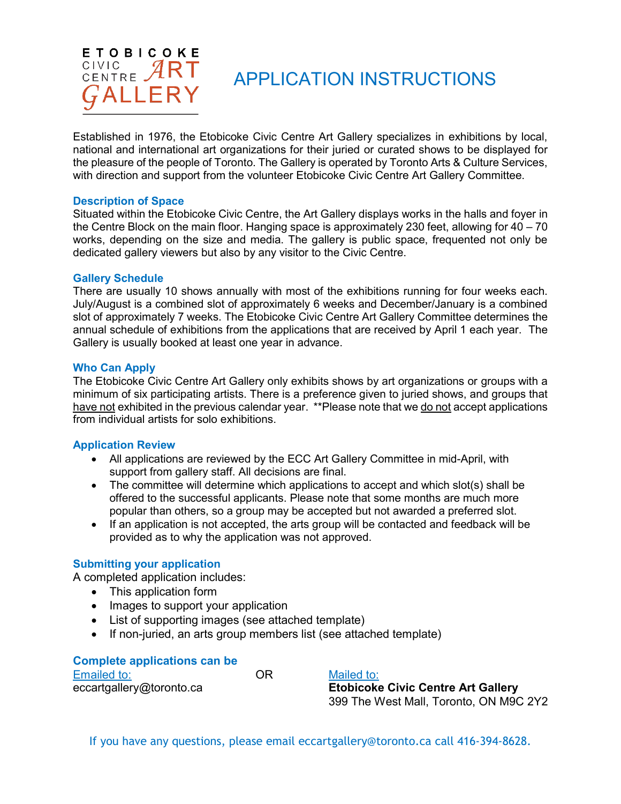

# APPLICATION INSTRUCTIONS

Established in 1976, the Etobicoke Civic Centre Art Gallery specializes in exhibitions by local, national and international art organizations for their juried or curated shows to be displayed for the pleasure of the people of Toronto. The Gallery is operated by Toronto Arts & Culture Services, with direction and support from the volunteer Etobicoke Civic Centre Art Gallery Committee.

#### **Description of Space**

Situated within the Etobicoke Civic Centre, the Art Gallery displays works in the halls and foyer in the Centre Block on the main floor. Hanging space is approximately 230 feet, allowing for 40 – 70 works, depending on the size and media. The gallery is public space, frequented not only be dedicated gallery viewers but also by any visitor to the Civic Centre.

#### **Gallery Schedule**

There are usually 10 shows annually with most of the exhibitions running for four weeks each. July/August is a combined slot of approximately 6 weeks and December/January is a combined slot of approximately 7 weeks. The Etobicoke Civic Centre Art Gallery Committee determines the annual schedule of exhibitions from the applications that are received by April 1 each year. The Gallery is usually booked at least one year in advance.

#### **Who Can Apply**

The Etobicoke Civic Centre Art Gallery only exhibits shows by art organizations or groups with a minimum of six participating artists. There is a preference given to juried shows, and groups that have not exhibited in the previous calendar year. \*\*Please note that we do not accept applications from individual artists for solo exhibitions.

#### **Application Review**

- All applications are reviewed by the ECC Art Gallery Committee in mid-April, with support from gallery staff. All decisions are final.
- The committee will determine which applications to accept and which slot(s) shall be offered to the successful applicants. Please note that some months are much more popular than others, so a group may be accepted but not awarded a preferred slot.
- If an application is not accepted, the arts group will be contacted and feedback will be provided as to why the application was not approved.

#### **Submitting your application**

A completed application includes:

- This application form
- Images to support your application
- List of supporting images (see attached template)
- If non-juried, an arts group members list (see attached template)

| <b>Complete applications can be</b> |    |                                           |  |
|-------------------------------------|----|-------------------------------------------|--|
| Emailed to:                         | ΩR | Mailed to:                                |  |
| eccartgallery@toronto.ca            |    | <b>Etobicoke Civic Centre Art Gallery</b> |  |
|                                     |    | 399 The West Mall, Toronto, ON M9C 2Y2    |  |

If you have any questions, please email [eccartgallery@toronto.ca](mailto:eccartgallery@toronto.ca) call 416-394-8628.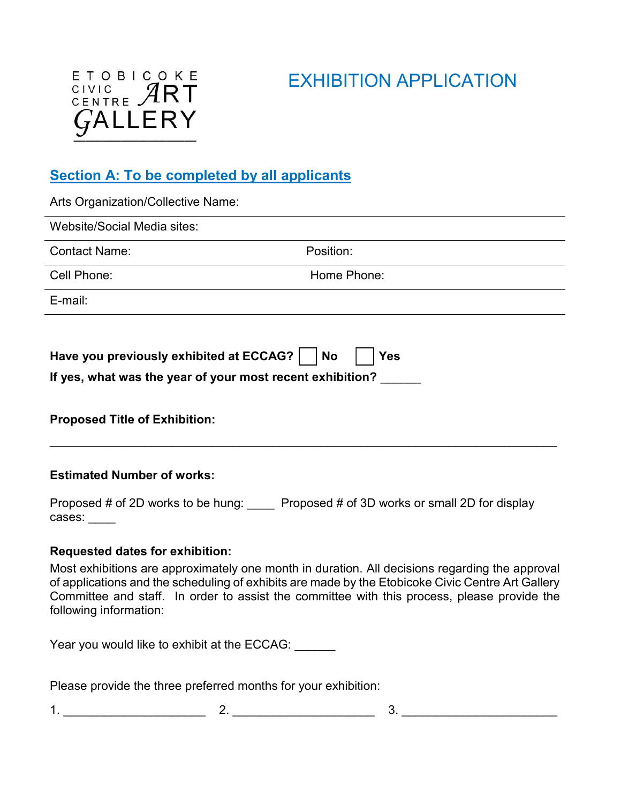# EXHIBITION APPLICATION



# **Section A: To be completed by all applicants**

| Arts Organization/Collective Name:                                                                                                             |                                                                                                                                                                                                                                                                                                    |
|------------------------------------------------------------------------------------------------------------------------------------------------|----------------------------------------------------------------------------------------------------------------------------------------------------------------------------------------------------------------------------------------------------------------------------------------------------|
| Website/Social Media sites:                                                                                                                    |                                                                                                                                                                                                                                                                                                    |
| <b>Contact Name:</b>                                                                                                                           | Position:                                                                                                                                                                                                                                                                                          |
| Cell Phone:                                                                                                                                    | Home Phone:                                                                                                                                                                                                                                                                                        |
| E-mail:                                                                                                                                        |                                                                                                                                                                                                                                                                                                    |
| Have you previously exhibited at ECCAG?  <br>If yes, what was the year of your most recent exhibition?<br><b>Proposed Title of Exhibition:</b> | <b>No</b><br><b>Yes</b>                                                                                                                                                                                                                                                                            |
| <b>Estimated Number of works:</b>                                                                                                              |                                                                                                                                                                                                                                                                                                    |
|                                                                                                                                                | Proposed # of 2D works to be hung: _____ Proposed # of 3D works or small 2D for display                                                                                                                                                                                                            |
| <b>Requested dates for exhibition:</b>                                                                                                         |                                                                                                                                                                                                                                                                                                    |
| following information:                                                                                                                         | Most exhibitions are approximately one month in duration. All decisions regarding the approval<br>of applications and the scheduling of exhibits are made by the Etobicoke Civic Centre Art Gallery<br>Committee and staff. In order to assist the committee with this process, please provide the |

Year you would like to exhibit at the ECCAG: \_\_\_\_\_\_

Please provide the three preferred months for your exhibition:

1. \_\_\_\_\_\_\_\_\_\_\_\_\_\_\_\_\_\_\_\_\_ 2. \_\_\_\_\_\_\_\_\_\_\_\_\_\_\_\_\_\_\_\_\_ 3. \_\_\_\_\_\_\_\_\_\_\_\_\_\_\_\_\_\_\_\_\_\_\_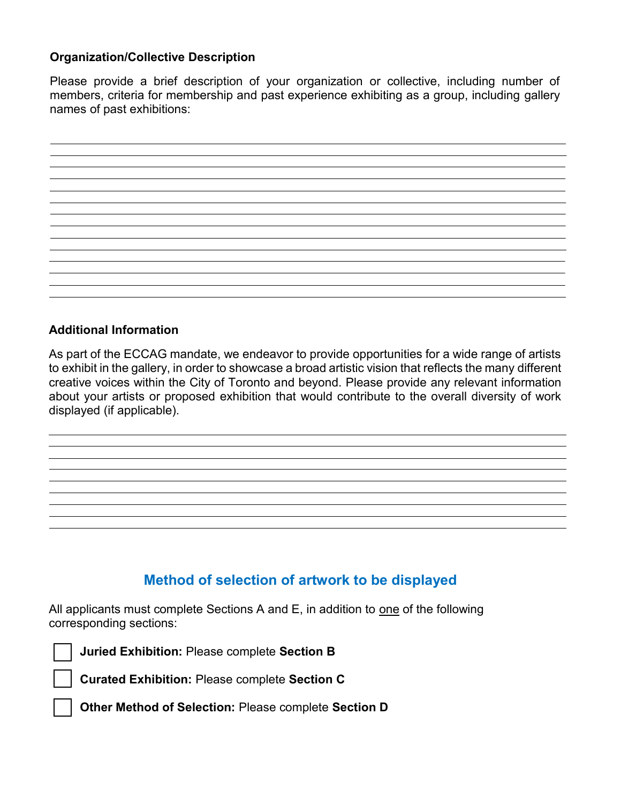### **Organization/Collective Description**

Please provide a brief description of your organization or collective, including number of members, criteria for membership and past experience exhibiting as a group, including gallery names of past exhibitions:



### **Additional Information**

As part of the ECCAG mandate, we endeavor to provide opportunities for a wide range of artists to exhibit in the gallery, in order to showcase a broad artistic vision that reflects the many different creative voices within the City of Toronto and beyond. Please provide any relevant information about your artists or proposed exhibition that would contribute to the overall diversity of work displayed (if applicable).

## **Method of selection of artwork to be displayed**

All applicants must complete Sections A and E, in addition to one of the following corresponding sections:



**Juried Exhibition:** Please complete **Section B**

**Curated Exhibition:** Please complete **Section C**

**Other Method of Selection:** Please complete **Section D**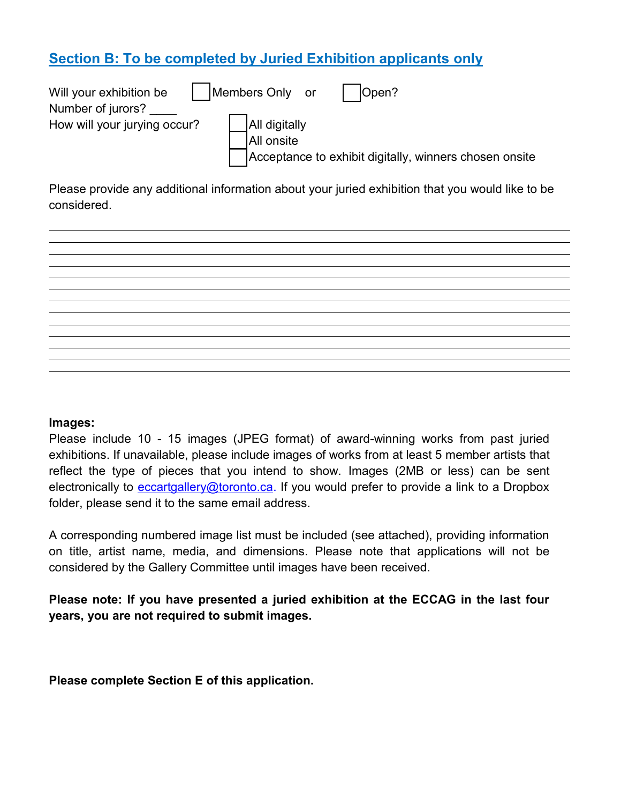# **Section B: To be completed by Juried Exhibition applicants only**

| Will your exhibition be      | Members Only or<br>Open?                               |
|------------------------------|--------------------------------------------------------|
| Number of jurors?            |                                                        |
| How will your jurying occur? | <b>All digitally</b>                                   |
|                              | All onsite                                             |
|                              | Acceptance to exhibit digitally, winners chosen onsite |

Please provide any additional information about your juried exhibition that you would like to be considered.



#### **Images:**

Please include 10 - 15 images (JPEG format) of award-winning works from past juried exhibitions. If unavailable, please include images of works from at least 5 member artists that reflect the type of pieces that you intend to show. Images (2MB or less) can be sent electronically to [eccartgallery@toronto.ca.](mailto:eccartgallery@toronto.ca) If you would prefer to provide a link to a Dropbox folder, please send it to the same email address.

A corresponding numbered image list must be included (see attached), providing information on title, artist name, media, and dimensions. Please note that applications will not be considered by the Gallery Committee until images have been received.

**Please note: If you have presented a juried exhibition at the ECCAG in the last four years, you are not required to submit images.**

**Please complete Section E of this application.**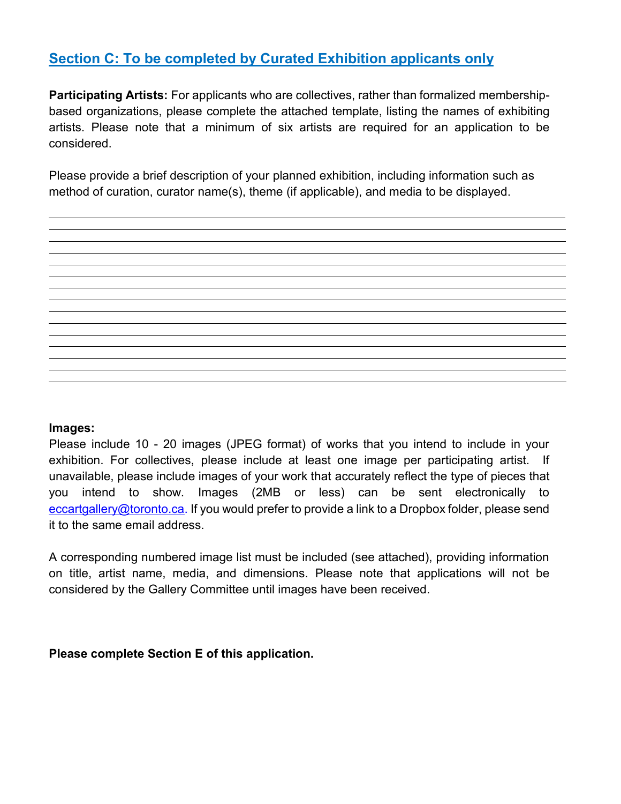# **Section C: To be completed by Curated Exhibition applicants only**

**Participating Artists:** For applicants who are collectives, rather than formalized membershipbased organizations, please complete the attached template, listing the names of exhibiting artists. Please note that a minimum of six artists are required for an application to be considered.

Please provide a brief description of your planned exhibition, including information such as method of curation, curator name(s), theme (if applicable), and media to be displayed.



#### **Images:**

Please include 10 - 20 images (JPEG format) of works that you intend to include in your exhibition. For collectives, please include at least one image per participating artist. If unavailable, please include images of your work that accurately reflect the type of pieces that you intend to show. Images (2MB or less) can be sent electronically to [eccartgallery@toronto.ca.](mailto:eccartgallery@toronto.ca) If you would prefer to provide a link to a Dropbox folder, please send it to the same email address.

A corresponding numbered image list must be included (see attached), providing information on title, artist name, media, and dimensions. Please note that applications will not be considered by the Gallery Committee until images have been received.

**Please complete Section E of this application.**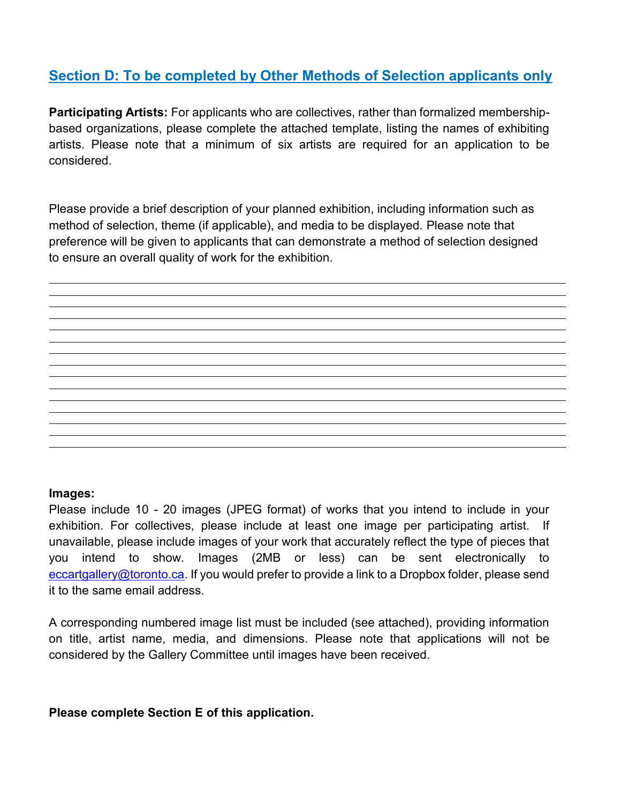# **Section D: To be completed by Other Methods of Selection applicants only**

**Participating Artists:** For applicants who are collectives, rather than formalized membershipbased organizations, please complete the attached template, listing the names of exhibiting artists. Please note that a minimum of six artists are required for an application to be considered.

Please provide a brief description of your planned exhibition, including information such as method of selection, theme (if applicable), and media to be displayed. Please note that preference will be given to applicants that can demonstrate a method of selection designed to ensure an overall quality of work for the exhibition.

#### **Images:**

Please include 10 - 20 images (JPEG format) of works that you intend to include in your exhibition. For collectives, please include at least one image per participating artist. If unavailable, please include images of your work that accurately reflect the type of pieces that you intend to show. Images (2MB or less) can be sent electronically to [eccartgallery@toronto.ca.](mailto:eccartgallery@toronto.ca) If you would prefer to provide a link to a Dropbox folder, please send it to the same email address.

A corresponding numbered image list must be included (see attached), providing information on title, artist name, media, and dimensions. Please note that applications will not be considered by the Gallery Committee until images have been received.

#### **Please complete Section E of this application.**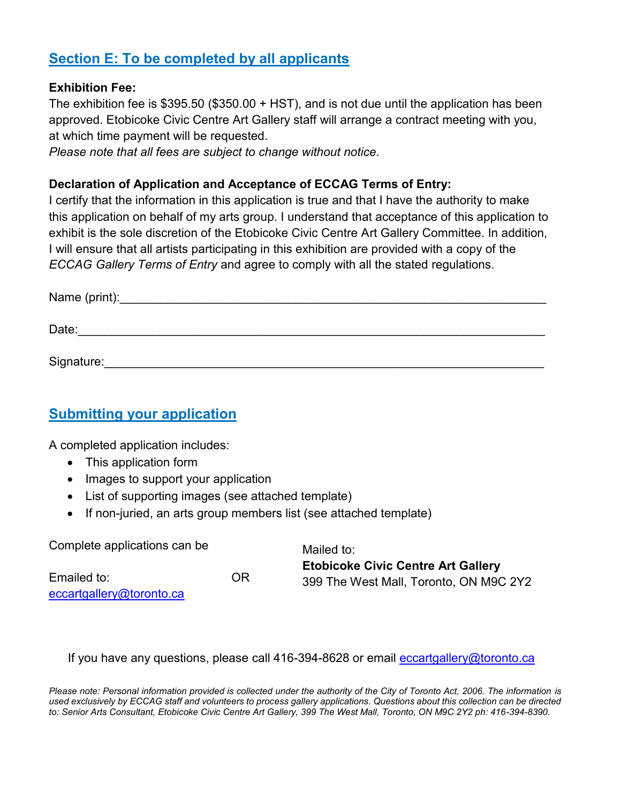# **Section E: To be completed by all applicants**

### **Exhibition Fee:**

The exhibition fee is \$395.50 (\$350.00 + HST), and is not due until the application has been approved. Etobicoke Civic Centre Art Gallery staff will arrange a contract meeting with you, at which time payment will be requested.

*Please note that all fees are subject to change without notice.*

### **Declaration of Application and Acceptance of ECCAG Terms of Entry:**

I certify that the information in this application is true and that I have the authority to make this application on behalf of my arts group. I understand that acceptance of this application to exhibit is the sole discretion of the Etobicoke Civic Centre Art Gallery Committee. In addition, I will ensure that all artists participating in this exhibition are provided with a copy of the *ECCAG Gallery Terms of Entry* and agree to comply with all the stated regulations.

| Name (print): |  |  |  |
|---------------|--|--|--|
| Date:         |  |  |  |
|               |  |  |  |

Signature:\_\_\_\_\_\_\_\_\_\_\_\_\_\_\_\_\_\_\_\_\_\_\_\_\_\_\_\_\_\_\_\_\_\_\_\_\_\_\_\_\_\_\_\_\_\_\_\_\_\_\_\_\_\_\_\_\_\_\_\_\_\_\_\_\_

## **Submitting your application**

A completed application includes:

- This application form
- Images to support your application
- List of supporting images (see attached template)
- If non-juried, an arts group members list (see attached template)

| Complete applications can be                  |  | Mailed to:                                |  |
|-----------------------------------------------|--|-------------------------------------------|--|
|                                               |  | <b>Etobicoke Civic Centre Art Gallery</b> |  |
| Emailed to:<br>0R<br>eccartgallery@toronto.ca |  | 399 The West Mall, Toronto, ON M9C 2Y2    |  |
|                                               |  |                                           |  |

If you have any questions, please call 416-394-8628 or email [eccartgallery@toronto.ca](mailto:eccartgallery@toronto.ca)

*Please note: Personal information provided is collected under the authority of the City of Toronto Act, 2006. The information is used exclusively by ECCAG staff and volunteers to process gallery applications. Questions about this collection can be directed to: Senior Arts Consultant, Etobicoke Civic Centre Art Gallery, 399 The West Mall, Toronto, ON M9C 2Y2 ph: 416-394-8390.*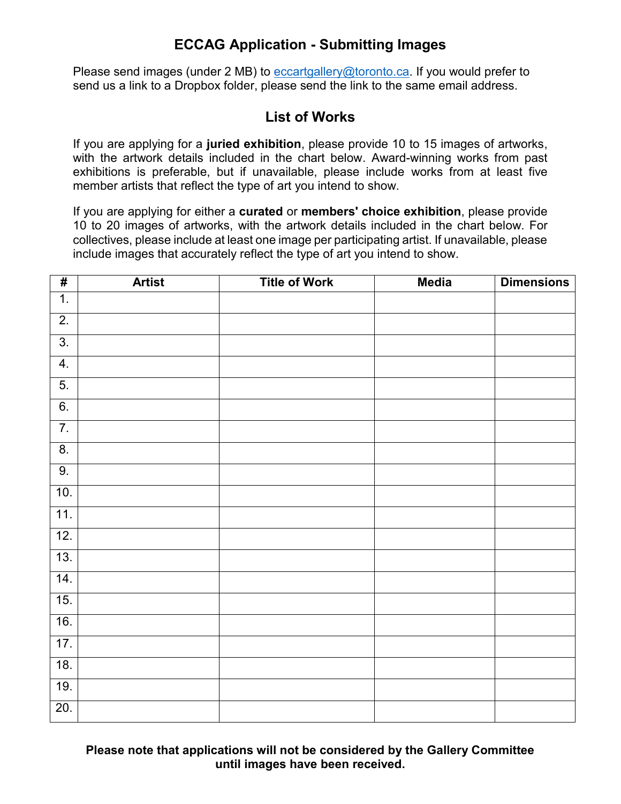## **ECCAG Application - Submitting Images**

Please send images (under 2 MB) to [eccartgallery@toronto.ca.](mailto:eccartgallery@toronto.ca) If you would prefer to send us a link to a Dropbox folder, please send the link to the same email address.

### **List of Works**

If you are applying for a **juried exhibition**, please provide 10 to 15 images of artworks, with the artwork details included in the chart below. Award-winning works from past exhibitions is preferable, but if unavailable, please include works from at least five member artists that reflect the type of art you intend to show.

If you are applying for either a **curated** or **members' choice exhibition**, please provide 10 to 20 images of artworks, with the artwork details included in the chart below. For collectives, please include at least one image per participating artist. If unavailable, please include images that accurately reflect the type of art you intend to show.

| $\overline{\boldsymbol{H}}$ | <b>Artist</b> | <b>Title of Work</b> | <b>Media</b> | <b>Dimensions</b> |
|-----------------------------|---------------|----------------------|--------------|-------------------|
| $\overline{1}$ .            |               |                      |              |                   |
| $\overline{2}$ .            |               |                      |              |                   |
| $\overline{3}$ .            |               |                      |              |                   |
| 4.                          |               |                      |              |                   |
| 5.                          |               |                      |              |                   |
| 6.                          |               |                      |              |                   |
| $\overline{7}$ .            |               |                      |              |                   |
| $\overline{8}$ .            |               |                      |              |                   |
| 9.                          |               |                      |              |                   |
| 10.                         |               |                      |              |                   |
| $\overline{11}$ .           |               |                      |              |                   |
| 12.                         |               |                      |              |                   |
| 13.                         |               |                      |              |                   |
| 14.                         |               |                      |              |                   |
| 15.                         |               |                      |              |                   |
| 16.                         |               |                      |              |                   |
| 17.                         |               |                      |              |                   |
| 18.                         |               |                      |              |                   |
| 19.                         |               |                      |              |                   |
| 20.                         |               |                      |              |                   |

**Please note that applications will not be considered by the Gallery Committee until images have been received.**